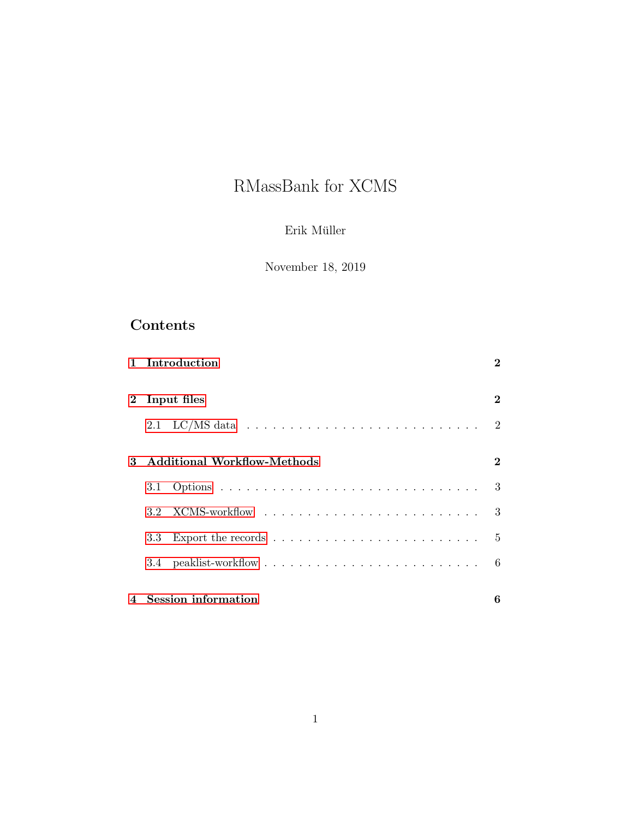# RMassBank for XCMS

## Erik Müller

November 18, 2019

## Contents

|          | 1 Introduction              |                                                                                          |   |  |  |  |  |  |
|----------|-----------------------------|------------------------------------------------------------------------------------------|---|--|--|--|--|--|
| $\bf{2}$ | Input files                 |                                                                                          |   |  |  |  |  |  |
|          |                             | 2.1 LC/MS data $\ldots \ldots \ldots \ldots \ldots \ldots \ldots \ldots \ldots \ldots 2$ |   |  |  |  |  |  |
| 3        | Additional Workflow-Methods |                                                                                          |   |  |  |  |  |  |
|          | 3.1                         |                                                                                          |   |  |  |  |  |  |
|          | 3.2                         |                                                                                          |   |  |  |  |  |  |
|          | 3.3                         | Export the records $\dots \dots \dots \dots \dots \dots \dots \dots \dots \dots \dots$   |   |  |  |  |  |  |
|          |                             |                                                                                          |   |  |  |  |  |  |
|          |                             | 4 Session information                                                                    | 6 |  |  |  |  |  |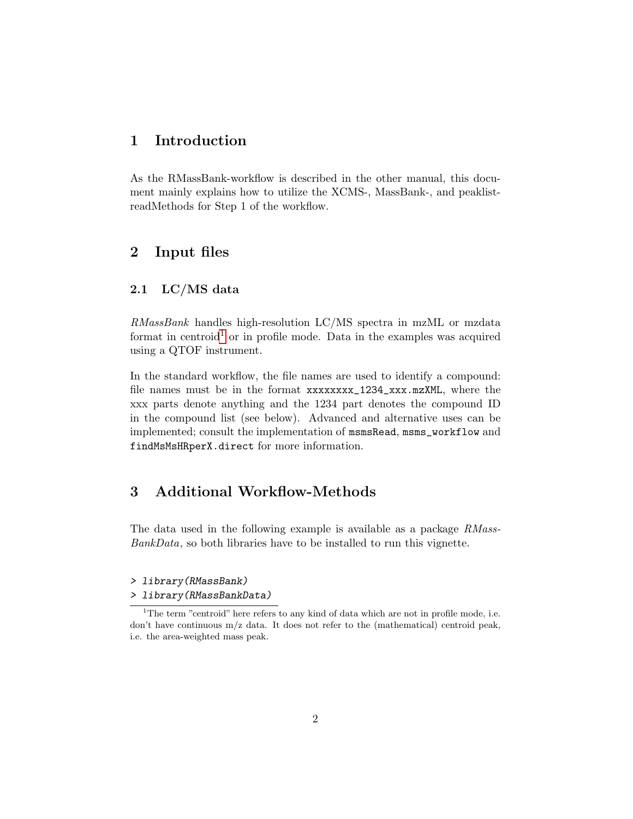## <span id="page-1-0"></span>1 Introduction

As the RMassBank-workflow is described in the other manual, this document mainly explains how to utilize the XCMS-, MassBank-, and peaklistreadMethods for Step 1 of the workflow.

### <span id="page-1-1"></span>2 Input files

#### <span id="page-1-2"></span>2.1 LC/MS data

RMassBank handles high-resolution LC/MS spectra in mzML or mzdata format in centroid<sup>[1](#page-1-4)</sup> or in profile mode. Data in the examples was acquired using a QTOF instrument.

In the standard workflow, the file names are used to identify a compound: file names must be in the format xxxxxxxx\_1234\_xxx.mzXML, where the xxx parts denote anything and the 1234 part denotes the compound ID in the compound list (see below). Advanced and alternative uses can be implemented; consult the implementation of msmsRead, msms\_workflow and findMsMsHRperX.direct for more information.

## <span id="page-1-3"></span>3 Additional Workflow-Methods

The data used in the following example is available as a package RMass-BankData, so both libraries have to be installed to run this vignette.

<sup>&</sup>gt; library(RMassBank)

<sup>&</sup>gt; library(RMassBankData)

<span id="page-1-4"></span><sup>&</sup>lt;sup>1</sup>The term "centroid" here refers to any kind of data which are not in profile mode, i.e. don't have continuous  $m/z$  data. It does not refer to the (mathematical) centroid peak, i.e. the area-weighted mass peak.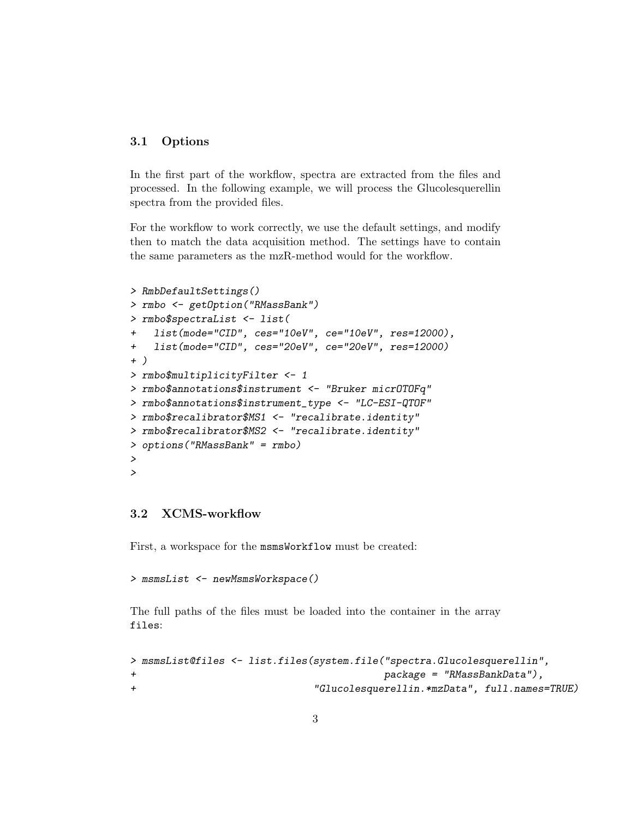#### <span id="page-2-0"></span>3.1 Options

In the first part of the workflow, spectra are extracted from the files and processed. In the following example, we will process the Glucolesquerellin spectra from the provided files.

For the workflow to work correctly, we use the default settings, and modify then to match the data acquisition method. The settings have to contain the same parameters as the mzR-method would for the workflow.

```
> RmbDefaultSettings()
> rmbo <- getOption("RMassBank")
> rmbo$spectraList <- list(
+ list(mode="CID", ces="10eV", ce="10eV", res=12000),
+ list(mode="CID", ces="20eV", ce="20eV", res=12000)
+ )
> rmbo$multiplicityFilter <- 1
> rmbo$annotations$instrument <- "Bruker micrOTOFq"
> rmbo$annotations$instrument_type <- "LC-ESI-QTOF"
> rmbo$recalibrator$MS1 <- "recalibrate.identity"
> rmbo$recalibrator$MS2 <- "recalibrate.identity"
> options("RMassBank" = rmbo)
>
>
```
#### <span id="page-2-1"></span>3.2 XCMS-workflow

First, a workspace for the msmsWorkflow must be created:

#### > msmsList <- newMsmsWorkspace()

The full paths of the files must be loaded into the container in the array files:

```
> msmsList@files <- list.files(system.file("spectra.Glucolesquerellin",
+ package = "RMassBankData"),
+ "Glucolesquerellin.*mzData", full.names=TRUE)
```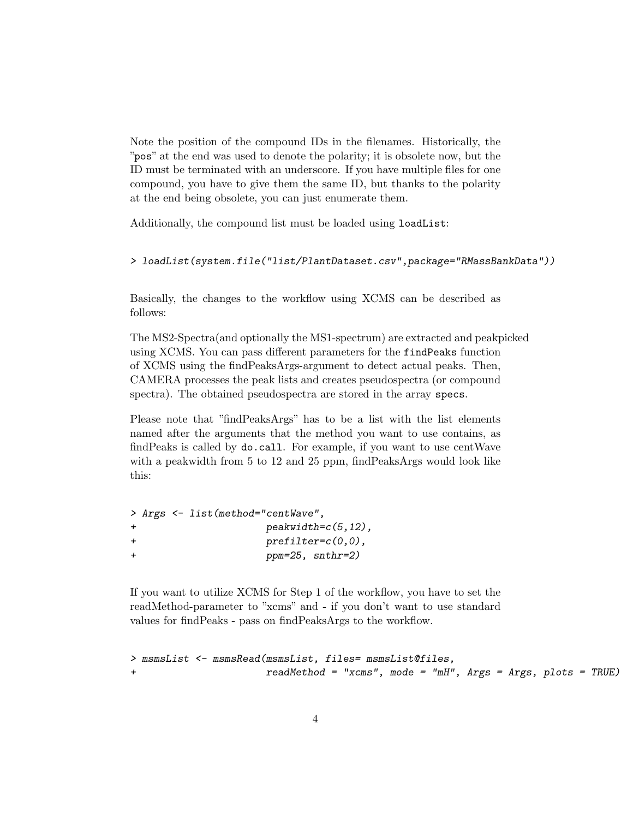Note the position of the compound IDs in the filenames. Historically, the "pos" at the end was used to denote the polarity; it is obsolete now, but the ID must be terminated with an underscore. If you have multiple files for one compound, you have to give them the same ID, but thanks to the polarity at the end being obsolete, you can just enumerate them.

Additionally, the compound list must be loaded using **loadList**:

```
> loadList(system.file("list/PlantDataset.csv",package="RMassBankData"))
```
Basically, the changes to the workflow using XCMS can be described as follows:

The MS2-Spectra(and optionally the MS1-spectrum) are extracted and peakpicked using XCMS. You can pass different parameters for the findPeaks function of XCMS using the findPeaksArgs-argument to detect actual peaks. Then, CAMERA processes the peak lists and creates pseudospectra (or compound spectra). The obtained pseudospectra are stored in the array specs.

Please note that "findPeaksArgs" has to be a list with the list elements named after the arguments that the method you want to use contains, as findPeaks is called by do.call. For example, if you want to use centWave with a peakwidth from 5 to 12 and 25 ppm, findPeaksArgs would look like this:

|        | > Args <- list (method="centWave", |  |                       |  |  |  |  |
|--------|------------------------------------|--|-----------------------|--|--|--|--|
| $\pm$  |                                    |  | $peakwidth=c(5,12)$ , |  |  |  |  |
| $\div$ |                                    |  | $prefix(0,0)$ ,       |  |  |  |  |
| $\div$ |                                    |  | $ppm=25$ , snthr=2)   |  |  |  |  |

If you want to utilize XCMS for Step 1 of the workflow, you have to set the readMethod-parameter to "xcms" and - if you don't want to use standard values for findPeaks - pass on findPeaksArgs to the workflow.

```
> msmsList <- msmsRead(msmsList, files= msmsList@files,
+ readMethod = "xcms", mode = "mH", Args = Args, plots = TRUE)
```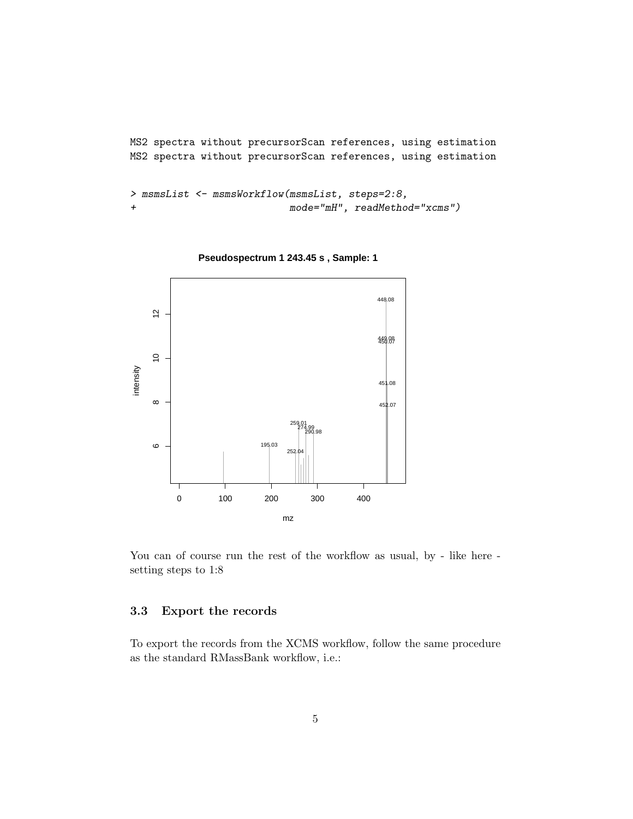MS2 spectra without precursorScan references, using estimation MS2 spectra without precursorScan references, using estimation

```
> msmsList <- msmsWorkflow(msmsList, steps=2:8,
+ mode="mH", readMethod="xcms")
```


**Pseudospectrum 1 243.45 s , Sample: 1**

You can of course run the rest of the workflow as usual, by - like here setting steps to 1:8

#### <span id="page-4-0"></span>3.3 Export the records

To export the records from the XCMS workflow, follow the same procedure as the standard RMassBank workflow, i.e.: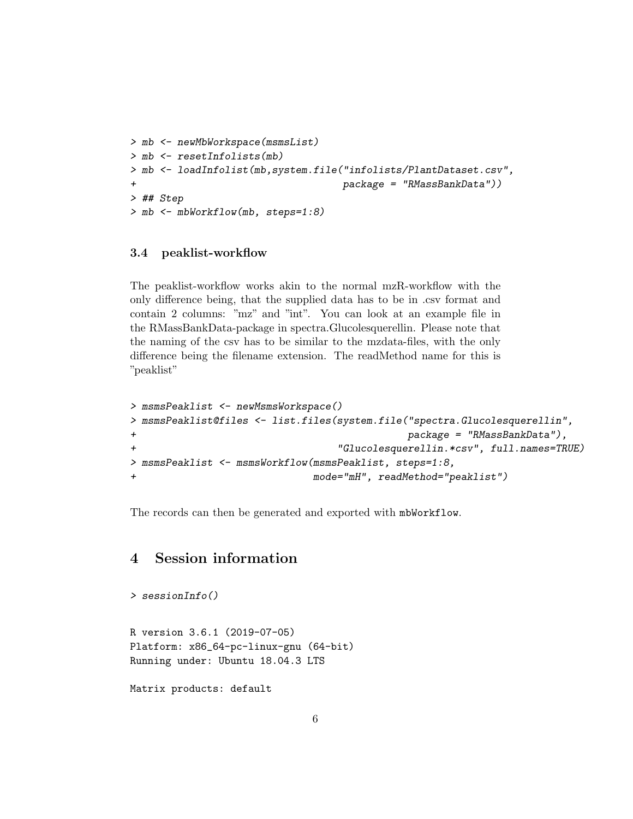```
> mb <- newMbWorkspace(msmsList)
> mb <- resetInfolists(mb)
> mb <- loadInfolist(mb,system.file("infolists/PlantDataset.csv",
+ package = "RMassBankData"))
> ## Step
> mb <- mbWorkflow(mb, steps=1:8)
```
#### <span id="page-5-0"></span>3.4 peaklist-workflow

The peaklist-workflow works akin to the normal mzR-workflow with the only difference being, that the supplied data has to be in .csv format and contain 2 columns: "mz" and "int". You can look at an example file in the RMassBankData-package in spectra.Glucolesquerellin. Please note that the naming of the csv has to be similar to the mzdata-files, with the only difference being the filename extension. The readMethod name for this is "peaklist"

```
> msmsPeaklist <- newMsmsWorkspace()
> msmsPeaklist@files <- list.files(system.file("spectra.Glucolesquerellin",
+ package = "RMassBankData"),
+ "Glucolesquerellin.*csv", full.names=TRUE)
> msmsPeaklist <- msmsWorkflow(msmsPeaklist, steps=1:8,
+ mode="mH", readMethod="peaklist")
```
The records can then be generated and exported with mbWorkflow.

## <span id="page-5-1"></span>4 Session information

```
> sessionInfo()
R version 3.6.1 (2019-07-05)
Platform: x86_64-pc-linux-gnu (64-bit)
Running under: Ubuntu 18.04.3 LTS
```
Matrix products: default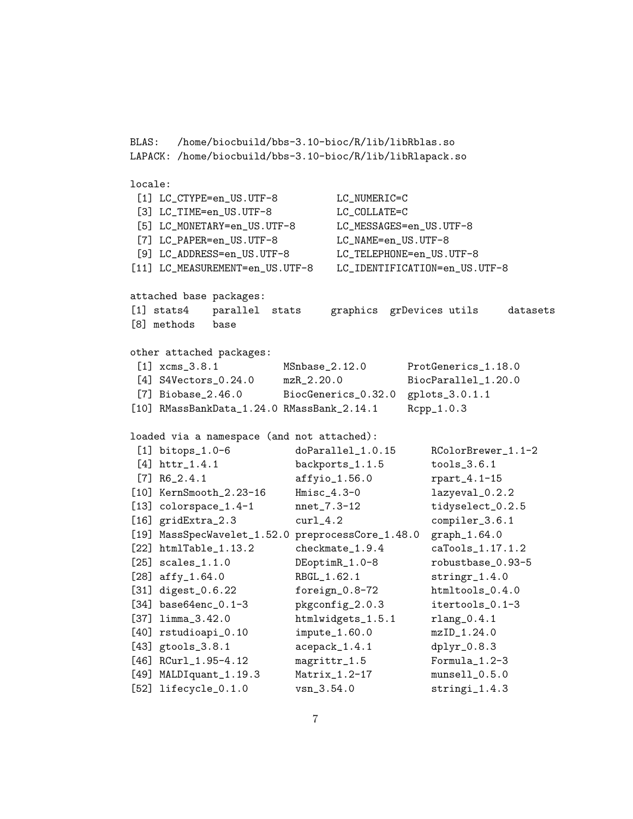```
BLAS: /home/biocbuild/bbs-3.10-bioc/R/lib/libRblas.so
LAPACK: /home/biocbuild/bbs-3.10-bioc/R/lib/libRlapack.so
locale:
 [1] LC_CTYPE=en_US.UTF-8 LC_NUMERIC=C
 [3] LC_TIME=en_US.UTF-8 LC_COLLATE=C
 [5] LC_MONETARY=en_US.UTF-8 LC_MESSAGES=en_US.UTF-8
 [7] LC_PAPER=en_US.UTF-8 LC_NAME=en_US.UTF-8
 [9] LC_ADDRESS=en_US.UTF-8 LC_TELEPHONE=en_US.UTF-8
[11] LC_MEASUREMENT=en_US.UTF-8 LC_IDENTIFICATION=en_US.UTF-8
attached base packages:
[1] stats4 parallel stats graphics grDevices utils datasets
[8] methods base
other attached packages:
 [1] xcms_3.8.1 MSnbase_2.12.0 ProtGenerics_1.18.0
 [4] S4Vectors_0.24.0 mzR_2.20.0 BiocParallel_1.20.0
 [7] Biobase_2.46.0 BiocGenerics_0.32.0 gplots_3.0.1.1
[10] RMassBankData_1.24.0 RMassBank_2.14.1 Rcpp_1.0.3
loaded via a namespace (and not attached):
 [1] bitops_1.0-6 doParallel_1.0.15 RColorBrewer_1.1-2
 [4] httr_1.4.1 backports_1.1.5 tools_3.6.1
[7] R6_2.4.1 affyio_1.56.0 rpart_4.1-15
[10] KernSmooth_2.23-16 Hmisc_4.3-0 lazyeval_0.2.2
[13] colorspace_1.4-1 nnet_7.3-12 tidyselect_0.2.5
[16] gridExtra_2.3 curl_4.2 compiler_3.6.1
[19] MassSpecWavelet_1.52.0 preprocessCore_1.48.0 graph_1.64.0
[22] htmlTable_1.13.2 checkmate_1.9.4 caTools_1.17.1.2
[25] scales_1.1.0 DEoptimR_1.0-8 robustbase_0.93-5
[28] affy<sub>-1.64.0</sub> RBGL<sub>1.62.1</sub> stringr<sub>1.4.0</sub>
[31] digest_0.6.22 foreign_0.8-72 htmltools_0.4.0
[34] base64enc_0.1-3 pkgconfig_2.0.3 itertools_0.1-3
[37] limma_3.42.0 htmlwidgets_1.5.1 rlang_0.4.1
[40] rstudioapi_0.10 impute_1.60.0 mzID_1.24.0
[43] gtools_3.8.1 acepack_1.4.1 dplyr_0.8.3
[46] RCurl_1.95-4.12 magrittr_1.5 Formula_1.2-3
[49] MALDIquant_1.19.3 Matrix_1.2-17 munsell_0.5.0
[52] lifecycle_0.1.0 vsn_3.54.0 stringi_1.4.3
```